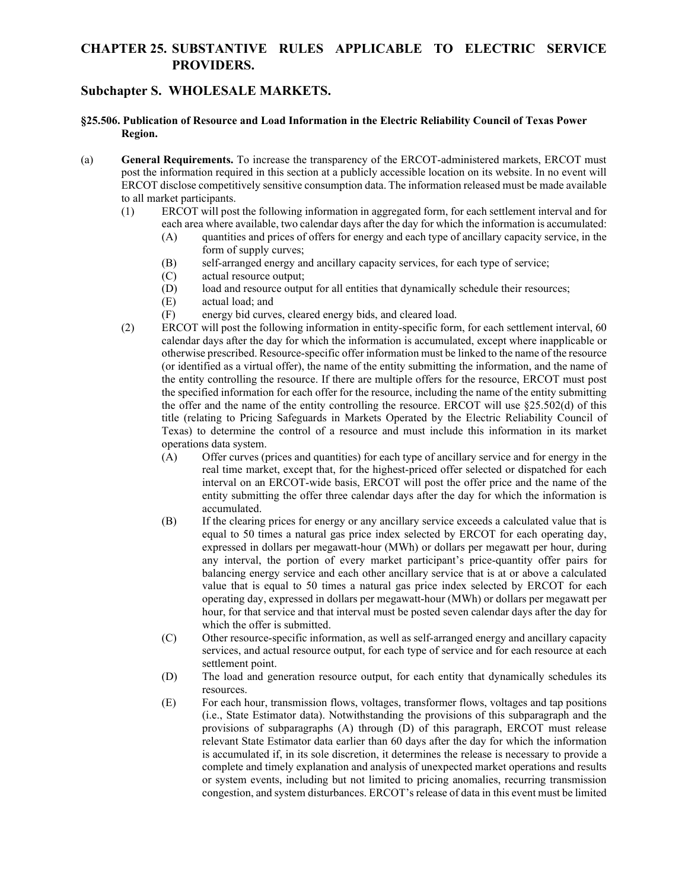## **CHAPTER 25. SUBSTANTIVE RULES APPLICABLE TO ELECTRIC SERVICE PROVIDERS.**

## **Subchapter S. WHOLESALE MARKETS.**

- **§25.506. Publication of Resource and Load Information in the Electric Reliability Council of Texas Power Region.**
- (a) **General Requirements.** To increase the transparency of the ERCOT-administered markets, ERCOT must post the information required in this section at a publicly accessible location on its website. In no event will ERCOT disclose competitively sensitive consumption data. The information released must be made available to all market participants.
	- (1) ERCOT will post the following information in aggregated form, for each settlement interval and for each area where available, two calendar days after the day for which the information is accumulated:
		- (A) quantities and prices of offers for energy and each type of ancillary capacity service, in the form of supply curves;
		- (B) self-arranged energy and ancillary capacity services, for each type of service;
		- (C) actual resource output;
		- (D) load and resource output for all entities that dynamically schedule their resources;
		- (E) actual load; and
		- (F) energy bid curves, cleared energy bids, and cleared load.
	- (2) ERCOT will post the following information in entity-specific form, for each settlement interval, 60 calendar days after the day for which the information is accumulated, except where inapplicable or otherwise prescribed. Resource-specific offer information must be linked to the name of the resource (or identified as a virtual offer), the name of the entity submitting the information, and the name of the entity controlling the resource. If there are multiple offers for the resource, ERCOT must post the specified information for each offer for the resource, including the name of the entity submitting the offer and the name of the entity controlling the resource. ERCOT will use §25.502(d) of this title (relating to Pricing Safeguards in Markets Operated by the Electric Reliability Council of Texas) to determine the control of a resource and must include this information in its market operations data system.
		- (A) Offer curves (prices and quantities) for each type of ancillary service and for energy in the real time market, except that, for the highest-priced offer selected or dispatched for each interval on an ERCOT-wide basis, ERCOT will post the offer price and the name of the entity submitting the offer three calendar days after the day for which the information is accumulated.
		- (B) If the clearing prices for energy or any ancillary service exceeds a calculated value that is equal to 50 times a natural gas price index selected by ERCOT for each operating day, expressed in dollars per megawatt-hour (MWh) or dollars per megawatt per hour, during any interval, the portion of every market participant's price-quantity offer pairs for balancing energy service and each other ancillary service that is at or above a calculated value that is equal to 50 times a natural gas price index selected by ERCOT for each operating day, expressed in dollars per megawatt-hour (MWh) or dollars per megawatt per hour, for that service and that interval must be posted seven calendar days after the day for which the offer is submitted.
		- (C) Other resource-specific information, as well as self-arranged energy and ancillary capacity services, and actual resource output, for each type of service and for each resource at each settlement point.
		- (D) The load and generation resource output, for each entity that dynamically schedules its resources.
		- (E) For each hour, transmission flows, voltages, transformer flows, voltages and tap positions (i.e., State Estimator data). Notwithstanding the provisions of this subparagraph and the provisions of subparagraphs (A) through (D) of this paragraph, ERCOT must release relevant State Estimator data earlier than 60 days after the day for which the information is accumulated if, in its sole discretion, it determines the release is necessary to provide a complete and timely explanation and analysis of unexpected market operations and results or system events, including but not limited to pricing anomalies, recurring transmission congestion, and system disturbances. ERCOT's release of data in this event must be limited